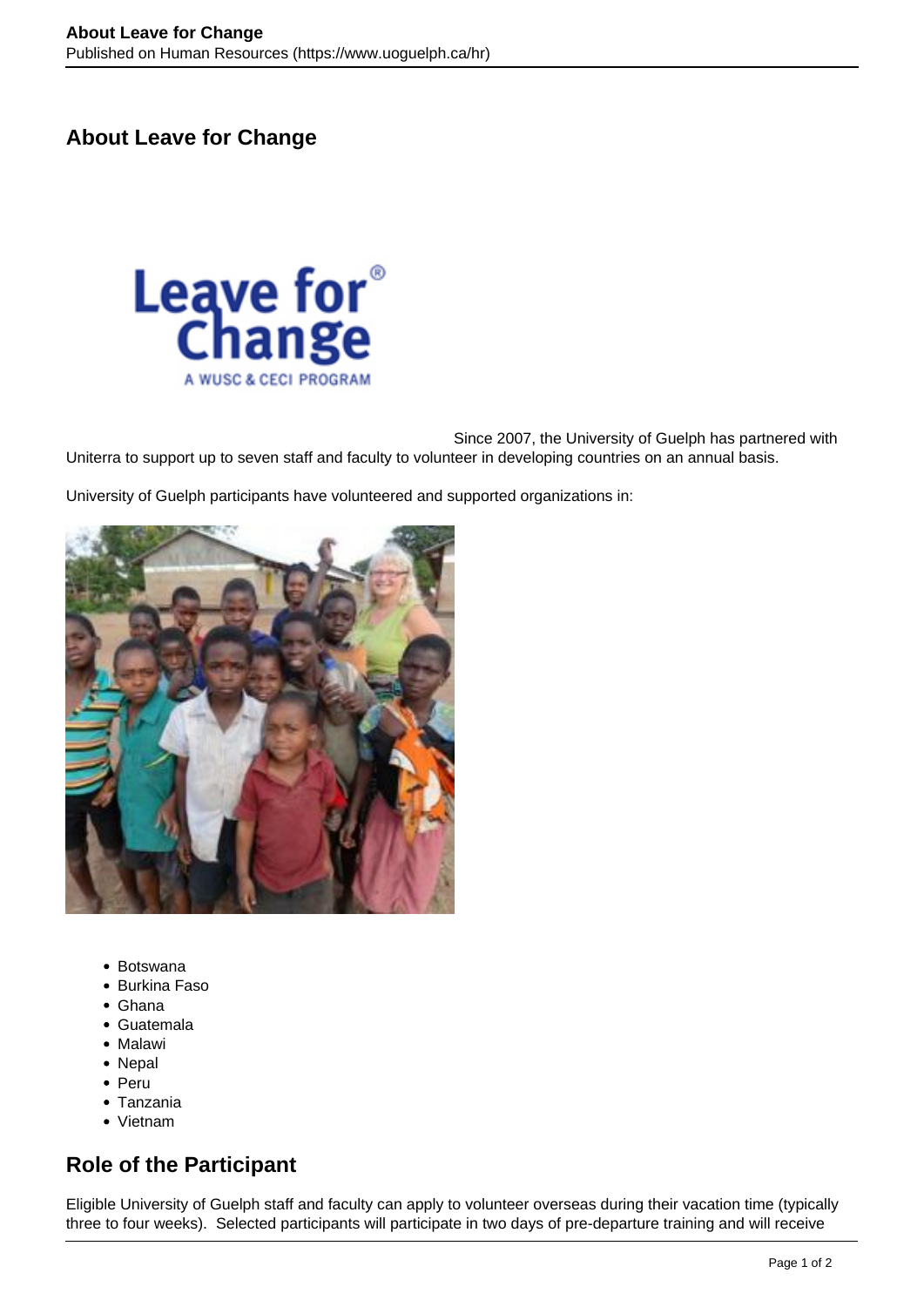## **About Leave for Change**



Since 2007, the University of Guelph has partnered with Uniterra to support up to seven staff and faculty to volunteer in developing countries on an annual basis.

University of Guelph participants have volunteered and supported organizations in:



- Botswana
- Burkina Faso
- Ghana
- Guatemala
- Malawi
- Nepal
- Peru
- Tanzania
- Vietnam

## **Role of the Participant**

Eligible University of Guelph staff and faculty can apply to volunteer overseas during their vacation time (typically three to four weeks). Selected participants will participate in two days of pre-departure training and will receive